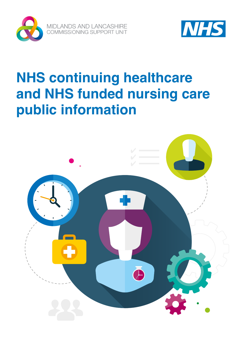



# **NHS continuing healthcare and NHS funded nursing care public information**

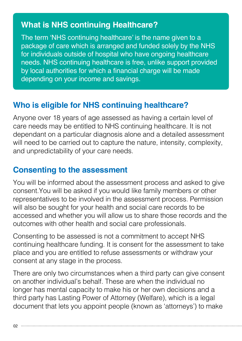#### **What is NHS continuing Healthcare?**

The term 'NHS continuing healthcare' is the name given to a package of care which is arranged and funded solely by the NHS for individuals outside of hospital who have ongoing healthcare needs. NHS continuing healthcare is free, unlike support provided by local authorities for which a financial charge will be made depending on your income and savings.

#### **Who is eligible for NHS continuing healthcare?**

Anyone over 18 years of age assessed as having a certain level of care needs may be entitled to NHS continuing healthcare. It is not dependant on a particular diagnosis alone and a detailed assessment will need to be carried out to capture the nature, intensity, complexity, and unpredictability of your care needs.

#### **Consenting to the assessment**

You will be informed about the assessment process and asked to give consent.You will be asked if you would like family members or other representatives to be involved in the assessment process. Permission will also be sought for your health and social care records to be accessed and whether you will allow us to share those records and the outcomes with other health and social care professionals.

Consenting to be assessed is not a commitment to accept NHS continuing healthcare funding. It is consent for the assessment to take place and you are entitled to refuse assessments or withdraw your consent at any stage in the process.

There are only two circumstances when a third party can give consent on another individual's behalf. These are when the individual no longer has mental capacity to make his or her own decisions and a third party has Lasting Power of Attorney (Welfare), which is a legal document that lets you appoint people (known as 'attorneys') to make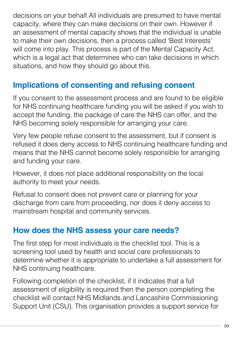decisions on your behalf.All individuals are presumed to have mental capacity, where they can make decisions on their own. However if an assessment of mental capacity shows that the individual is unable to make their own decisions, then a process called 'Best Interests' will come into play. This process is part of the Mental Capacity Act, which is a legal act that determines who can take decisions in which situations, and how they should go about this.

# **Implications of consenting and refusing consent**

If you consent to the assessment process and are found to be eligible for NHS continuing healthcare funding you will be asked if you wish to accept the funding, the package of care the NHS can offer, and the NHS becoming solely responsible for arranging your care.

Very few people refuse consent to the assessment, but if consent is refused it does deny access to NHS continuing healthcare funding and means that the NHS cannot become solely responsible for arranging and funding your care.

However, it does not place additional responsibility on the local authority to meet your needs.

Refusal to consent does not prevent care or planning for your discharge from care from proceeding, nor does it deny access to mainstream hospital and community services.

#### **How does the NHS assess your care needs?**

The first step for most individuals is the checklist tool. This is a screening tool used by health and social care professionals to determine whether it is appropriate to undertake a full assessment for NHS continuing healthcare.

Following completion of the checklist, if it indicates that a full assessment of eligibility is required then the person completing the checklist will contact NHS Midlands and Lancashire Commissioning Support Unit (CSU). This organisation provides a support service for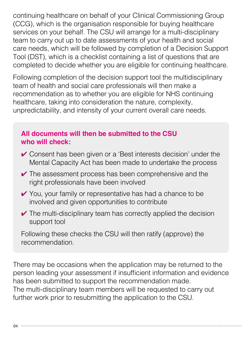continuing healthcare on behalf of your Clinical Commissioning Group (CCG), which is the organisation responsible for buying healthcare services on your behalf. The CSU will arrange for a multi-disciplinary team to carry out up to date assessments of your health and social care needs, which will be followed by completion of a Decision Support Tool (DST), which is a checklist containing a list of questions that are completed to decide whether you are eligible for continuing healthcare.

Following completion of the decision support tool the multidisciplinary team of health and social care professionals will then make a recommendation as to whether you are eligible for NHS continuing healthcare, taking into consideration the nature, complexity, unpredictability, and intensity of your current overall care needs.

#### **All documents will then be submitted to the CSU who will check:**

- ✔ Consent has been given or a 'Best interests decision' under the Mental Capacity Act has been made to undertake the process
- $\vee$  The assessment process has been comprehensive and the right professionals have been involved
- ✔ You, your family or representative has had a chance to be involved and given opportunities to contribute
- $\vee$  The multi-disciplinary team has correctly applied the decision support tool

Following these checks the CSU will then ratify (approve) the recommendation.

There may be occasions when the application may be returned to the person leading your assessment if insufficient information and evidence has been submitted to support the recommendation made. The multi-disciplinary team members will be requested to carry out further work prior to resubmitting the application to the CSU.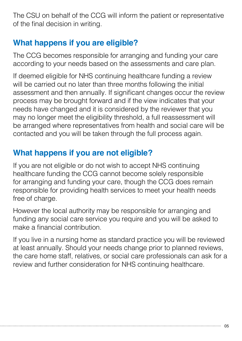The CSU on behalf of the CCG will inform the patient or representative of the final decision in writing.

# **What happens if you are eligible?**

The CCG becomes responsible for arranging and funding your care according to your needs based on the assessments and care plan.

If deemed eligible for NHS continuing healthcare funding a review will be carried out no later than three months following the initial assessment and then annually. If significant changes occur the review process may be brought forward and if the view indicates that your needs have changed and it is considered by the reviewer that you may no longer meet the eligibility threshold, a full reassessment will be arranged where representatives from health and social care will be contacted and you will be taken through the full process again.

# **What happens if you are not eligible?**

If you are not eligible or do not wish to accept NHS continuing healthcare funding the CCG cannot become solely responsible for arranging and funding your care, though the CCG does remain responsible for providing health services to meet your health needs free of charge.

However the local authority may be responsible for arranging and funding any social care service you require and you will be asked to make a financial contribution.

If you live in a nursing home as standard practice you will be reviewed at least annually. Should your needs change prior to planned reviews, the care home staff, relatives, or social care professionals can ask for a review and further consideration for NHS continuing healthcare.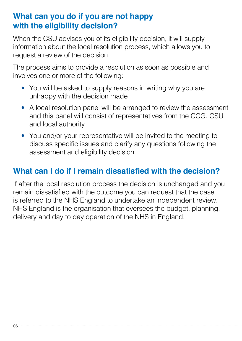#### **What can you do if you are not happy with the eligibility decision?**

When the CSU advises you of its eligibility decision, it will supply information about the local resolution process, which allows you to request a review of the decision.

The process aims to provide a resolution as soon as possible and involves one or more of the following:

- You will be asked to supply reasons in writing why you are unhappy with the decision made
- A local resolution panel will be arranged to review the assessment and this panel will consist of representatives from the CCG, CSU and local authority
- You and/or your representative will be invited to the meeting to discuss specific issues and clarify any questions following the assessment and eligibility decision

# **What can I do if I remain dissatisfied with the decision?**

If after the local resolution process the decision is unchanged and you remain dissatisfied with the outcome you can request that the case is referred to the NHS England to undertake an independent review. NHS England is the organisation that oversees the budget, planning, delivery and day to day operation of the NHS in England.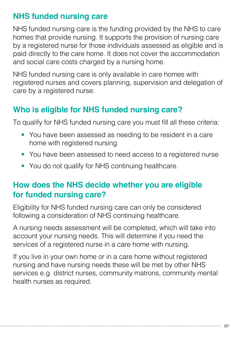## **NHS funded nursing care**

NHS funded nursing care is the funding provided by the NHS to care homes that provide nursing. It supports the provision of nursing care by a registered nurse for those individuals assessed as eligible and is paid directly to the care home. It does not cover the accommodation and social care costs charged by a nursing home.

NHS funded nursing care is only available in care homes with registered nurses and covers planning, supervision and delegation of care by a registered nurse.

# **Who is eligible for NHS funded nursing care?**

To qualify for NHS funded nursing care you must fill all these criteria:

- You have been assessed as needing to be resident in a care home with registered nursing
- You have been assessed to need access to a registered nurse
- You do not qualify for NHS continuing healthcare.

#### **How does the NHS decide whether you are eligible for funded nursing care?**

Eligibility for NHS funded nursing care can only be considered following a consideration of NHS continuing healthcare.

A nursing needs assessment will be completed, which will take into account your nursing needs. This will determine if you need the services of a registered nurse in a care home with nursing.

If you live in your own home or in a care home without registered nursing and have nursing needs these will be met by other NHS services e.g. district nurses, community matrons, community mental health nurses as required.